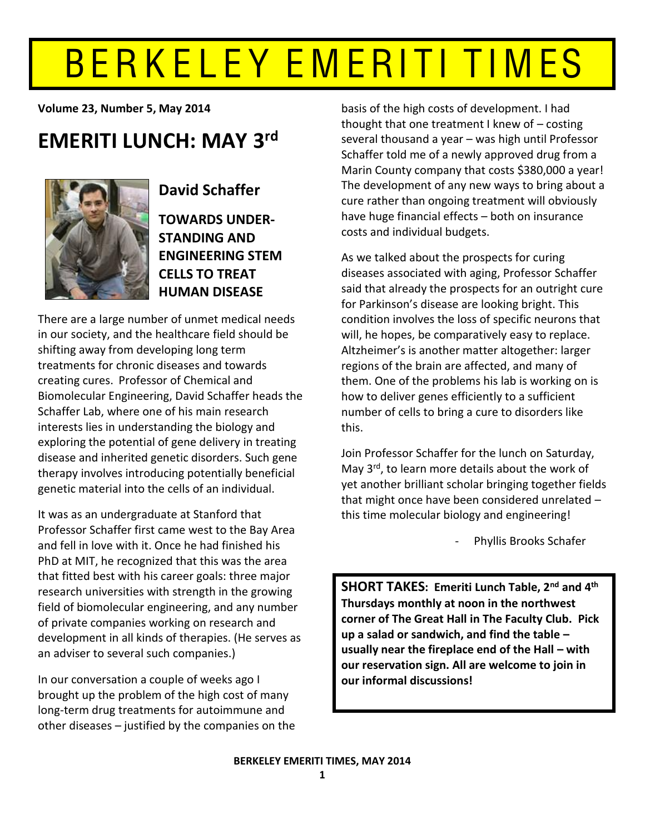# BERKELEY EMERITI TIMES

**Volume 23, Number 5, May 2014** 

## **EMERITI LUNCH: MAY 3rd**



**David!Schaffer TOWARDS UNDER-STANDING AND ENGINEERING STEM CELLS TO TREAT HUMAN!DISEASE**

There are a large number of unmet medical needs in our society, and the healthcare field should be shifting away from developing long term treatments for chronic diseases and towards creating cures. Professor of Chemical and Biomolecular Engineering, David Schaffer heads the Schaffer Lab, where one of his main research interests lies in understanding the biology and exploring the potential of gene delivery in treating disease and inherited genetic disorders. Such gene therapy involves introducing potentially beneficial genetic material into the cells of an individual.

It was as an undergraduate at Stanford that Professor Schaffer first came west to the Bay Area and fell in love with it. Once he had finished his PhD at MIT, he recognized that this was the area that fitted best with his career goals: three major research universities with strength in the growing field of biomolecular engineering, and any number of private companies working on research and development in all kinds of therapies. (He serves as an adviser to several such companies.)

In our conversation a couple of weeks ago I brought up the problem of the high cost of many long-term drug treatments for autoimmune and other diseases  $-$  justified by the companies on the basis of the high costs of development. I had thought that one treatment I knew of  $-$  costing several thousand a year – was high until Professor Schaffer told me of a newly approved drug from a Marin County company that costs \$380,000 a year! The development of any new ways to bring about a cure rather than ongoing treatment will obviously have huge financial effects - both on insurance costs and individual budgets.

As we talked about the prospects for curing diseases associated with aging, Professor Schaffer said that already the prospects for an outright cure for Parkinson's disease are looking bright. This condition involves the loss of specific neurons that will, he hopes, be comparatively easy to replace. Altzheimer's is another matter altogether: larger regions of the brain are affected, and many of them. One of the problems his lab is working on is how to deliver genes efficiently to a sufficient number of cells to bring a cure to disorders like this.

Join Professor Schaffer for the lunch on Saturday, May  $3<sup>rd</sup>$ , to learn more details about the work of yet another brilliant scholar bringing together fields that might once have been considered unrelated  $$ this time molecular biology and engineering!

Phyllis Brooks Schafer

**SHORT TAKES: Emeriti Lunch Table, 2nd and 4th Thursdays monthly at noon in the northwest** corner of The Great Hall in The Faculty Club. Pick **up a salad or sandwich, and find the table usually near the fireplace end of the Hall – with our reservation sign. All are welcome to join in our informal discussions!**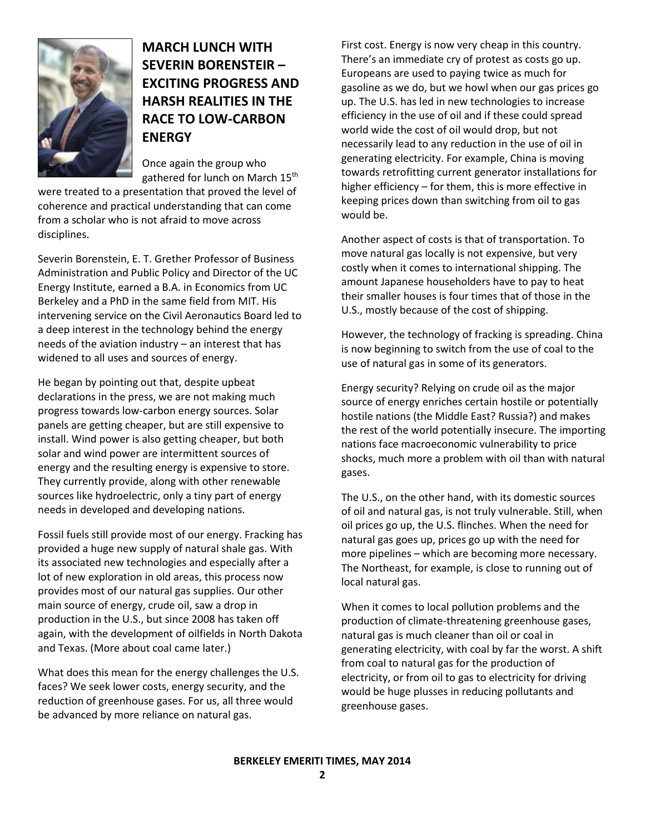

**MARCH LUNCH!WITH! SEVERIN BORENSTEIR -EXCITING PROGRESS AND HARSH REALITIES IN THE RACE TO LOW-CARBON ENERGY**

Once again the group who gathered for lunch on March 15<sup>th</sup>

were treated to a presentation that proved the level of coherence and practical understanding that can come from a scholar who is not afraid to move across disciplines.

Severin Borenstein, E. T. Grether Professor of Business Administration and Public Policy and Director of the UC Energy Institute, earned a B.A. in Economics from UC Berkeley and a PhD in the same field from MIT. His intervening service on the Civil Aeronautics Board led to a deep interest in the technology behind the energy needs of the aviation industry  $-$  an interest that has widened to all uses and sources of energy.

He began by pointing out that, despite upbeat declarations in the press, we are not making much progress towards low-carbon energy sources. Solar panels are getting cheaper, but are still expensive to install. Wind power is also getting cheaper, but both solar and wind power are intermittent sources of energy and the resulting energy is expensive to store. They currently provide, along with other renewable sources like hydroelectric, only a tiny part of energy needs in developed and developing nations.

Fossil fuels still provide most of our energy. Fracking has provided a huge new supply of natural shale gas. With its associated new technologies and especially after a lot of new exploration in old areas, this process now provides most of our natural gas supplies. Our other main source of energy, crude oil, saw a drop in production in the U.S., but since 2008 has taken off again, with the development of oilfields in North Dakota and Texas. (More about coal came later.)

What does this mean for the energy challenges the U.S. faces? We seek lower costs, energy security, and the reduction of greenhouse gases. For us, all three would be advanced by more reliance on natural gas.

First cost. Energy is now very cheap in this country. There's an immediate cry of protest as costs go up. Europeans are used to paying twice as much for gasoline as we do, but we howl when our gas prices go up. The U.S. has led in new technologies to increase efficiency in the use of oil and if these could spread world wide the cost of oil would drop, but not necessarily lead to any reduction in the use of oil in generating electricity. For example, China is moving towards retrofitting current generator installations for higher efficiency  $-$  for them, this is more effective in keeping prices down than switching from oil to gas would be.

Another aspect of costs is that of transportation. To move natural gas locally is not expensive, but very costly when it comes to international shipping. The amount Japanese householders have to pay to heat their smaller houses is four times that of those in the U.S., mostly because of the cost of shipping.

However, the technology of fracking is spreading. China is now beginning to switch from the use of coal to the use of natural gas in some of its generators.

Energy security? Relying on crude oil as the major source of energy enriches certain hostile or potentially hostile nations (the Middle East? Russia?) and makes the rest of the world potentially insecure. The importing nations face macroeconomic vulnerability to price shocks, much more a problem with oil than with natural gases.

The U.S., on the other hand, with its domestic sources of oil and natural gas, is not truly vulnerable. Still, when oil prices go up, the U.S. flinches. When the need for natural gas goes up, prices go up with the need for more pipelines - which are becoming more necessary. The Northeast, for example, is close to running out of local natural gas.

When it comes to local pollution problems and the production of climate-threatening greenhouse gases, natural gas is much cleaner than oil or coal in generating electricity, with coal by far the worst. A shift from coal to natural gas for the production of electricity, or from oil to gas to electricity for driving would be huge plusses in reducing pollutants and greenhouse gases.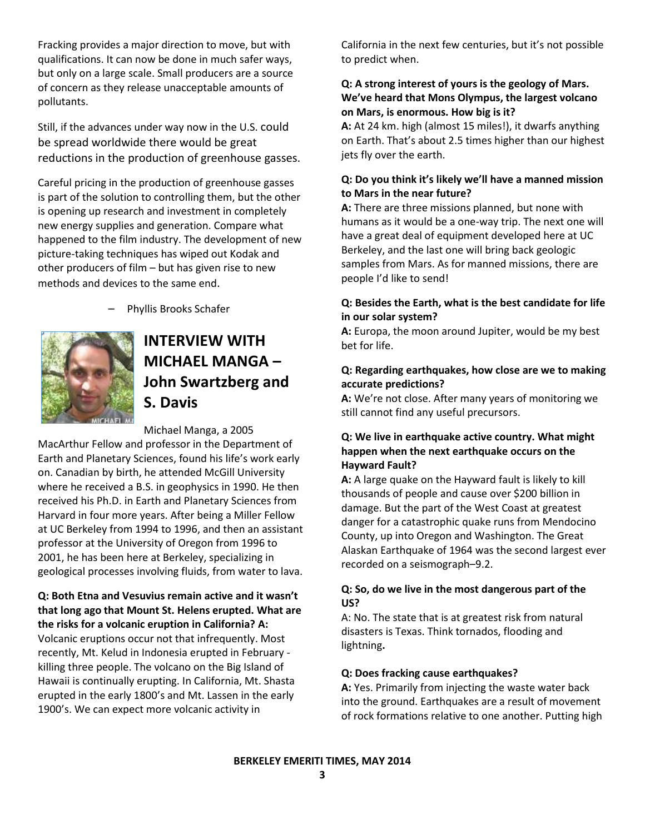Fracking provides a major direction to move, but with qualifications. It can now be done in much safer ways, but only on a large scale. Small producers are a source of concern as they release unacceptable amounts of pollutants.

Still, if the advances under way now in the U.S. could be spread worldwide there would be great reductions in the production of greenhouse gasses.

Careful pricing in the production of greenhouse gasses is part of the solution to controlling them, but the other is opening up research and investment in completely new energy supplies and generation. Compare what happened to the film industry. The development of new picture-taking techniques has wiped out Kodak and other producers of film  $-$  but has given rise to new methods and devices to the same end.



Phyllis Brooks Schafer

## **INTERVIEW!WITH! MICHAEL MANGA -John!Swartzberg!and! S.!Davis**

#### Michael Manga, a 2005

MacArthur Fellow and professor in the Department of Earth and Planetary Sciences, found his life's work early on. Canadian by birth, he attended McGill University where he received a B.S. in geophysics in 1990. He then received his Ph.D. in Earth and Planetary Sciences from Harvard in four more years. After being a Miller Fellow at UC Berkeley from 1994 to 1996, and then an assistant professor at the University of Oregon from 1996 to 2001, he has been here at Berkeley, specializing in geological processes involving fluids, from water to lava.

**Q:** Both Etna and Vesuvius remain active and it wasn't **that long ago that Mount St. Helens erupted. What are** the risks for a volcanic eruption in California? A: Volcanic eruptions occur not that infrequently. Most recently, Mt. Kelud in Indonesia erupted in February killing three people. The volcano on the Big Island of Hawaii is continually erupting. In California, Mt. Shasta erupted in the early 1800's and Mt. Lassen in the early 1900's. We can expect more volcanic activity in

California in the next few centuries, but it's not possible to predict when.

## **Q: A strong interest of yours is the geology of Mars.** We've heard that Mons Olympus, the largest volcano **on Mars, is enormous. How big is it?**

**A:** At 24 km. high (almost 15 miles!), it dwarfs anything on Earth. That's about 2.5 times higher than our highest jets fly over the earth.

## Q: Do you think it's likely we'll have a manned mission **to Mars in the near future?**

**A:** There are three missions planned, but none with humans as it would be a one-way trip. The next one will have a great deal of equipment developed here at UC Berkeley, and the last one will bring back geologic samples from Mars. As for manned missions, there are people I'd like to send!

## **Q: Besides the Earth, what is the best candidate for life** in our solar system?

**A:** Europa, the moon around Jupiter, would be my best bet for life.

## **Q: Regarding earthquakes, how close are we to making accurate!predictions?**

A: We're not close. After many years of monitoring we still cannot find any useful precursors.

## **Q: We live in earthquake active country. What might** happen when the next earthquake occurs on the **Hayward Fault?**

**A:** A large quake on the Hayward fault is likely to kill thousands of people and cause over \$200 billion in damage. But the part of the West Coast at greatest danger for a catastrophic quake runs from Mendocino County, up into Oregon and Washington. The Great Alaskan Earthquake of 1964 was the second largest ever recorded on a seismograph-9.2.

## **Q: So, do we live in the most dangerous part of the US?**

A: No. The state that is at greatest risk from natural disasters is Texas. Think tornados, flooding and lightning**.**

## **Q: Does fracking cause earthquakes?**

**A:** Yes. Primarily from injecting the waste water back into the ground. Earthquakes are a result of movement of rock formations relative to one another. Putting high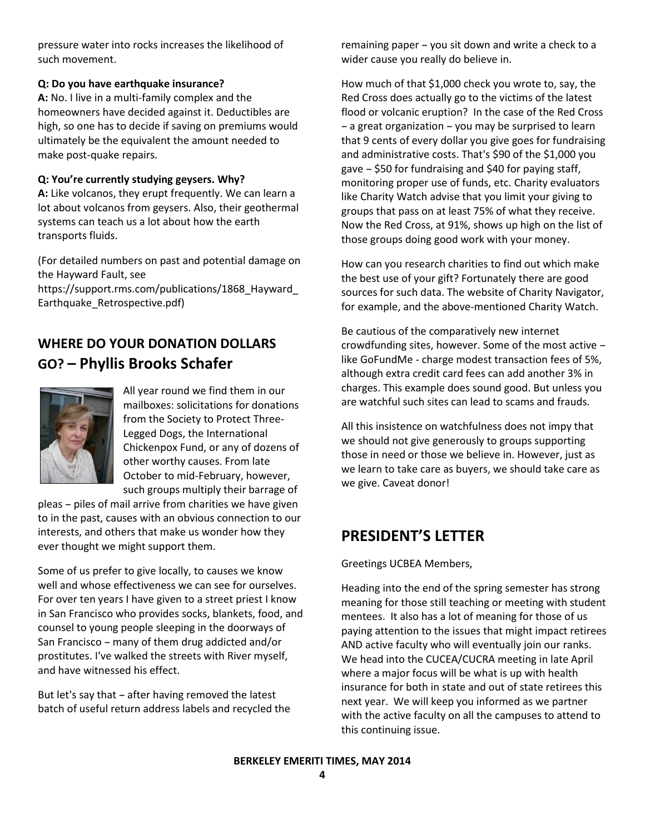pressure water into rocks increases the likelihood of such movement.

## **Q: Do you have earthquake insurance?**

**A:** No. I live in a multi-family complex and the homeowners have decided against it. Deductibles are high, so one has to decide if saving on premiums would ultimately be the equivalent the amount needed to make post-quake repairs.

## Q: You're currently studying geysers. Why?

**A:** Like volcanos, they erupt frequently. We can learn a lot about volcanos from geysers. Also, their geothermal systems can teach us a lot about how the earth transports fluids.

(For detailed numbers on past and potential damage on the Hayward Fault, see

https://support.rms.com/publications/1868\_Hayward\_ Earthquake\_Retrospective.pdf)

## WHERE DO YOUR DONATION DOLLARS **GO?!ʹ Phyllis!Brooks!Schafer**



All year round we find them in our mailboxes: solicitations for donations from the Society to Protect Three-Legged Dogs, the International Chickenpox Fund, or any of dozens of other worthy causes. From late October to mid-February, however, such groups multiply their barrage of

pleas - piles of mail arrive from charities we have given to in the past, causes with an obvious connection to our interests, and others that make us wonder how they ever thought we might support them.

Some of us prefer to give locally, to causes we know well and whose effectiveness we can see for ourselves. For over ten years I have given to a street priest I know in San Francisco who provides socks, blankets, food, and counsel to young people sleeping in the doorways of San Francisco - many of them drug addicted and/or prostitutes. I've walked the streets with River myself, and have witnessed his effect.

But let's say that - after having removed the latest batch of useful return address labels and recycled the remaining paper - you sit down and write a check to a wider cause you really do believe in.

How much of that \$1,000 check you wrote to, say, the Red Cross does actually go to the victims of the latest flood or volcanic eruption? In the case of the Red Cross  $-$  a great organization  $-$  you may be surprised to learn that 9 cents of every dollar you give goes for fundraising and administrative costs. That's \$90 of the \$1,000 you gave  $-$  \$50 for fundraising and \$40 for paying staff, monitoring proper use of funds, etc. Charity evaluators like Charity Watch advise that you limit your giving to groups that pass on at least 75% of what they receive. Now the Red Cross, at 91%, shows up high on the list of those groups doing good work with your money.

How can you research charities to find out which make the best use of your gift? Fortunately there are good sources for such data. The website of Charity Navigator, for example, and the above-mentioned Charity Watch.

Be cautious of the comparatively new internet crowdfunding sites, however. Some of the most active  $$ like GoFundMe - charge modest transaction fees of 5%, although extra credit card fees can add another 3% in charges. This example does sound good. But unless you are watchful such sites can lead to scams and frauds.

All this insistence on watchfulness does not impy that we should not give generously to groups supporting those in need or those we believe in. However, just as we learn to take care as buyers, we should take care as we give. Caveat donor!

## **PRESIDENT'S LETTER**

Greetings UCBEA Members,

Heading into the end of the spring semester has strong meaning for those still teaching or meeting with student mentees. It also has a lot of meaning for those of us paying attention to the issues that might impact retirees AND active faculty who will eventually join our ranks. We head into the CUCEA/CUCRA meeting in late April where a major focus will be what is up with health insurance for both in state and out of state retirees this next year. We will keep you informed as we partner with the active faculty on all the campuses to attend to this continuing issue.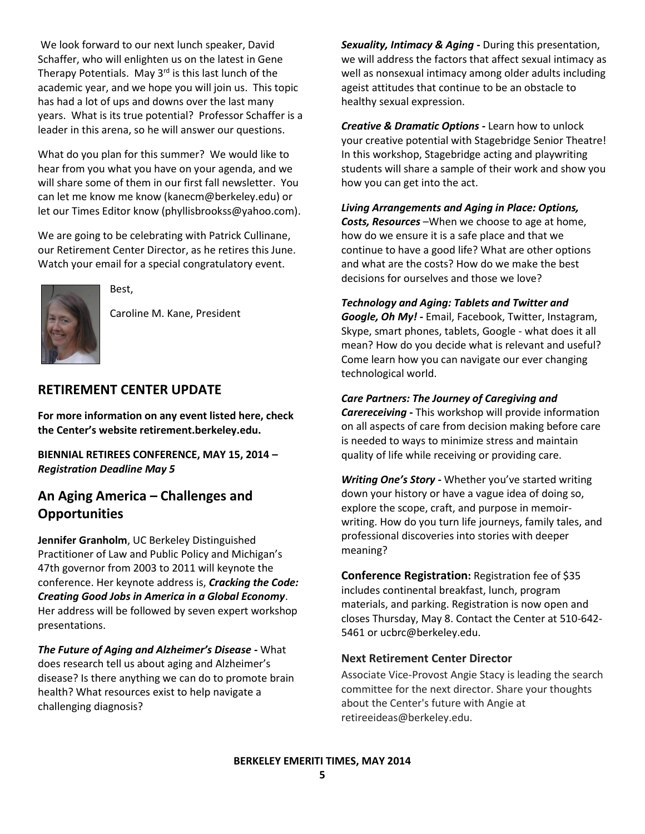We look forward to our next lunch speaker, David Schaffer, who will enlighten us on the latest in Gene Therapy Potentials. May 3rd is this last lunch of the academic year, and we hope you will join us. This topic has had a lot of ups and downs over the last many years. What is its true potential? Professor Schaffer is a leader in this arena, so he will answer our questions.

What do you plan for this summer? We would like to hear from you what you have on your agenda, and we will share some of them in our first fall newsletter. You can let me know me know (kanecm@berkeley.edu) or let our Times Editor know (phyllisbrookss@yahoo.com).

We are going to be celebrating with Patrick Cullinane, our Retirement Center Director, as he retires this June. Watch your email for a special congratulatory event.



Best,

Caroline M. Kane, President

## **RETIREMENT CENTER UPDATE**

For more information on any event listed here, check the Center's website retirement.berkeley.edu.

BIENNIAL RETIREES CONFERENCE, MAY 15, 2014 -**Registration Deadline May 5** 

## An Aging America - Challenges and **Opportunities**

Jennifer Granholm, UC Berkeley Distinguished Practitioner of Law and Public Policy and Michigan's 47th governor from 2003 to 2011 will keynote the conference. Her keynote address is, Cracking the Code: Creating Good Jobs in America in a Global Economy. Her address will be followed by seven expert workshop presentations.

The Future of Aging and Alzheimer's Disease - What does research tell us about aging and Alzheimer's disease? Is there anything we can do to promote brain health? What resources exist to help navigate a challenging diagnosis?

Sexuality, Intimacy & Aging - During this presentation, we will address the factors that affect sexual intimacy as well as nonsexual intimacy among older adults including ageist attitudes that continue to be an obstacle to healthy sexual expression.

Creative & Dramatic Options - Learn how to unlock your creative potential with Stagebridge Senior Theatre! In this workshop, Stagebridge acting and playwriting students will share a sample of their work and show you how you can get into the act.

## Living Arrangements and Aging in Place: Options,

Costs, Resources-When we choose to age at home, how do we ensure it is a safe place and that we continue to have a good life? What are other options and what are the costs? How do we make the best decisions for ourselves and those we love?

**Technology and Aging: Tablets and Twitter and** 

Google, Oh My! - Email, Facebook, Twitter, Instagram, Skype, smart phones, tablets, Google - what does it all mean? How do you decide what is relevant and useful? Come learn how you can navigate our ever changing technological world.

#### **Care Partners: The Journey of Caregiving and**

**Carereceiving - This workshop will provide information** on all aspects of care from decision making before care is needed to ways to minimize stress and maintain quality of life while receiving or providing care.

Writing One's Story - Whether you've started writing down your history or have a vague idea of doing so, explore the scope, craft, and purpose in memoirwriting. How do you turn life journeys, family tales, and professional discoveries into stories with deeper meaning?

Conference Registration: Registration fee of \$35 includes continental breakfast, lunch, program materials, and parking. Registration is now open and closes Thursday, May 8. Contact the Center at 510-642-5461 or ucbrc@berkeley.edu.

#### **Next Retirement Center Director**

Associate Vice-Provost Angie Stacy is leading the search committee for the next director. Share your thoughts about the Center's future with Angie at retireeideas@berkeley.edu.